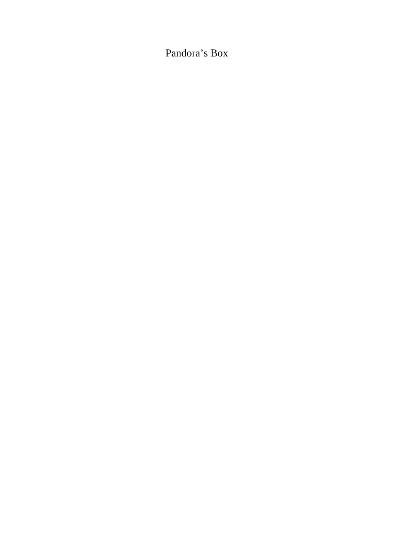# Pandora's Box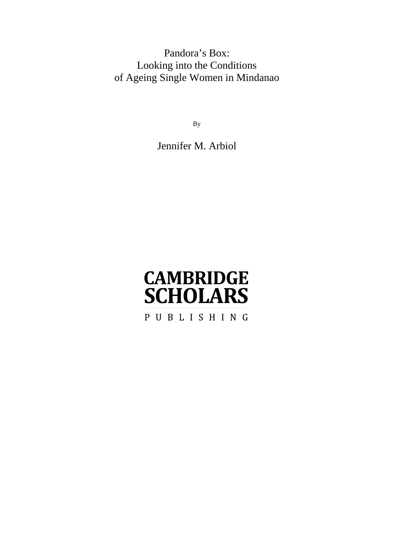# Pandora's Box: Looking into the Conditions of Ageing Single Women in Mindanao

By

Jennifer M. Arbiol

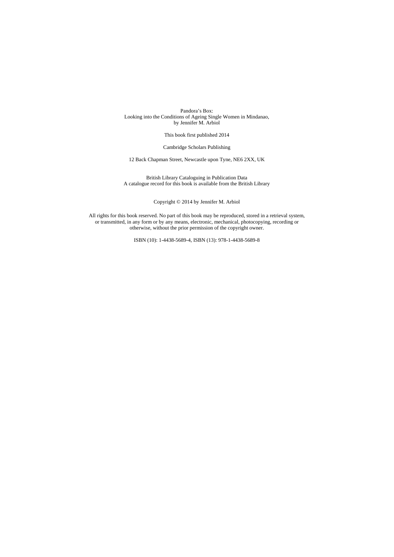Pandora's Box: Looking into the Conditions of Ageing Single Women in Mindanao, by Jennifer M. Arbiol

This book first published 2014

Cambridge Scholars Publishing

12 Back Chapman Street, Newcastle upon Tyne, NE6 2XX, UK

British Library Cataloguing in Publication Data A catalogue record for this book is available from the British Library

Copyright © 2014 by Jennifer M. Arbiol

All rights for this book reserved. No part of this book may be reproduced, stored in a retrieval system, or transmitted, in any form or by any means, electronic, mechanical, photocopying, recording or otherwise, without the prior permission of the copyright owner.

ISBN (10): 1-4438-5689-4, ISBN (13): 978-1-4438-5689-8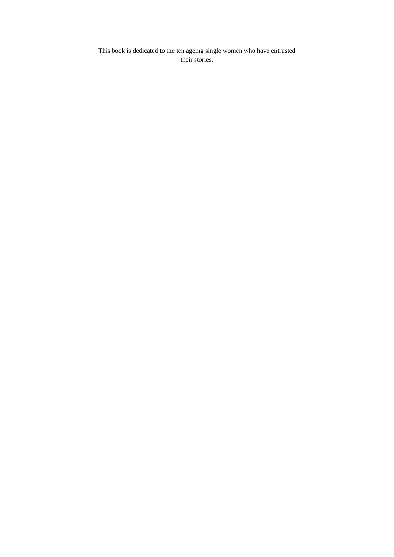This book is dedicated to the ten ageing single women who have entrusted their stories.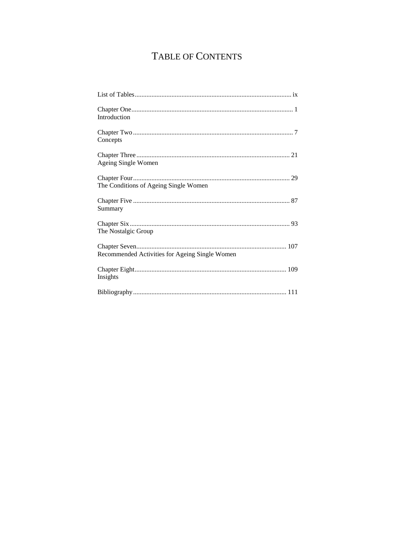# TABLE OF CONTENTS

| Introduction                                   |
|------------------------------------------------|
| Concepts                                       |
| Ageing Single Women                            |
| The Conditions of Ageing Single Women          |
| Summary                                        |
| The Nostalgic Group                            |
| Recommended Activities for Ageing Single Women |
| Insights                                       |
|                                                |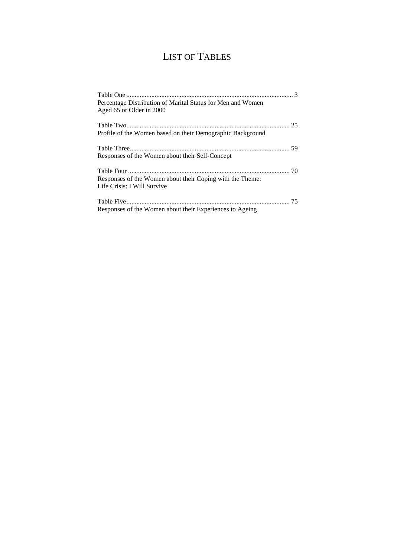# LIST OF TABLES

| Percentage Distribution of Marital Status for Men and Women |  |
|-------------------------------------------------------------|--|
| Aged 65 or Older in 2000                                    |  |
|                                                             |  |
| Profile of the Women based on their Demographic Background  |  |
|                                                             |  |
| Responses of the Women about their Self-Concept             |  |
|                                                             |  |
| Responses of the Women about their Coping with the Theme:   |  |
| Life Crisis: I Will Survive                                 |  |
|                                                             |  |
| Responses of the Women about their Experiences to Ageing    |  |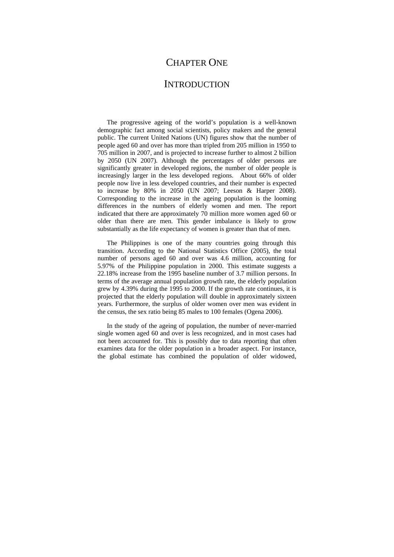## CHAPTER ONE

## **INTRODUCTION**

The progressive ageing of the world's population is a well-known demographic fact among social scientists, policy makers and the general public. The current United Nations (UN) figures show that the number of people aged 60 and over has more than tripled from 205 million in 1950 to 705 million in 2007, and is projected to increase further to almost 2 billion by 2050 (UN 2007). Although the percentages of older persons are significantly greater in developed regions, the number of older people is increasingly larger in the less developed regions. About 66% of older people now live in less developed countries, and their number is expected to increase by 80% in 2050 (UN 2007; Leeson & Harper 2008). Corresponding to the increase in the ageing population is the looming differences in the numbers of elderly women and men. The report indicated that there are approximately 70 million more women aged 60 or older than there are men. This gender imbalance is likely to grow substantially as the life expectancy of women is greater than that of men.

The Philippines is one of the many countries going through this transition. According to the National Statistics Office (2005), the total number of persons aged 60 and over was 4.6 million, accounting for 5.97% of the Philippine population in 2000. This estimate suggests a 22.18% increase from the 1995 baseline number of 3.7 million persons. In terms of the average annual population growth rate, the elderly population grew by 4.39% during the 1995 to 2000. If the growth rate continues, it is projected that the elderly population will double in approximately sixteen years. Furthermore, the surplus of older women over men was evident in the census, the sex ratio being 85 males to 100 females (Ogena 2006).

In the study of the ageing of population, the number of never-married single women aged 60 and over is less recognized, and in most cases had not been accounted for. This is possibly due to data reporting that often examines data for the older population in a broader aspect. For instance, the global estimate has combined the population of older widowed,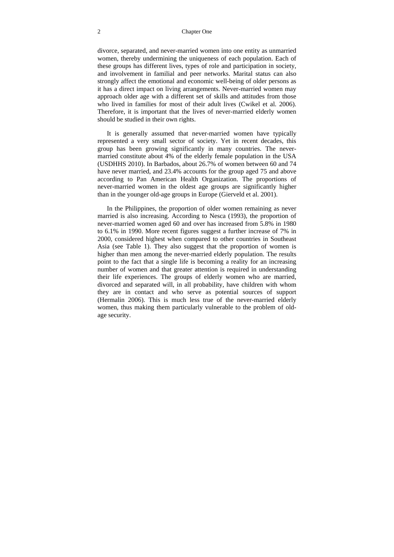#### 2 Chapter One

divorce, separated, and never-married women into one entity as unmarried women, thereby undermining the uniqueness of each population. Each of these groups has different lives, types of role and participation in society, and involvement in familial and peer networks. Marital status can also strongly affect the emotional and economic well-being of older persons as it has a direct impact on living arrangements. Never-married women may approach older age with a different set of skills and attitudes from those who lived in families for most of their adult lives (Cwikel et al. 2006). Therefore, it is important that the lives of never-married elderly women should be studied in their own rights.

It is generally assumed that never-married women have typically represented a very small sector of society. Yet in recent decades, this group has been growing significantly in many countries. The nevermarried constitute about 4% of the elderly female population in the USA (USDHHS 2010). In Barbados, about 26.7% of women between 60 and 74 have never married, and 23.4% accounts for the group aged 75 and above according to Pan American Health Organization. The proportions of never-married women in the oldest age groups are significantly higher than in the younger old-age groups in Europe (Gierveld et al. 2001).

In the Philippines, the proportion of older women remaining as never married is also increasing. According to Nesca (1993), the proportion of never-married women aged 60 and over has increased from 5.8% in 1980 to 6.1% in 1990. More recent figures suggest a further increase of 7% in 2000, considered highest when compared to other countries in Southeast Asia (see Table 1). They also suggest that the proportion of women is higher than men among the never-married elderly population. The results point to the fact that a single life is becoming a reality for an increasing number of women and that greater attention is required in understanding their life experiences. The groups of elderly women who are married, divorced and separated will, in all probability, have children with whom they are in contact and who serve as potential sources of support (Hermalin 2006). This is much less true of the never-married elderly women, thus making them particularly vulnerable to the problem of oldage security.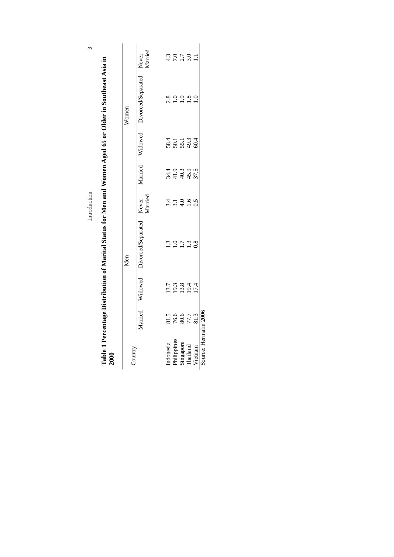|                                                                                                           |         | Married                          | $4.\overline{3}$            | 7.0                           | 2.7       | 3.0                          |                      |                       |
|-----------------------------------------------------------------------------------------------------------|---------|----------------------------------|-----------------------------|-------------------------------|-----------|------------------------------|----------------------|-----------------------|
| Table 1 Percentage Distribution of Marital Status for Men and Women Aged 65 or Older in Southeast Asia in | Women   | Widowed Divorced/Separated Never | 2.8                         |                               |           |                              |                      |                       |
|                                                                                                           |         |                                  |                             | 5811<br>50513<br>504          |           |                              | 60.4                 |                       |
|                                                                                                           |         | Married                          |                             | 4 9 9 9<br>4 4 9 9<br>4 4 9 9 |           |                              | 37.5                 |                       |
|                                                                                                           |         | Married                          | $\frac{4}{3}$ $\frac{1}{2}$ |                               | 4.0       | $\overline{1.6}$             | 0.5                  |                       |
|                                                                                                           | Men     | Widowed Divorced/Separated Never |                             |                               |           | $\tilde{\omega}$             | $\tilde{\mathbf{S}}$ |                       |
|                                                                                                           |         |                                  |                             | 13.3<br>19.3<br>19.3          |           | 19.4                         | 17.4                 |                       |
|                                                                                                           |         | Married                          |                             |                               |           | 81.5<br>76.6<br>77.7<br>81.3 |                      |                       |
| 2000                                                                                                      | Country |                                  | Indonesia                   | Philippines                   | Singapore | Thailand                     | Vietnam              | Source: Hermalin 2006 |

Introduction

| C |   | j |
|---|---|---|
|   |   |   |
|   |   |   |
|   |   |   |
|   |   |   |
|   |   |   |
|   |   |   |
|   |   |   |
|   |   |   |
|   |   |   |
|   |   |   |
|   |   |   |
|   |   |   |
|   |   |   |
|   |   |   |
|   |   |   |
|   |   |   |
|   |   |   |
|   |   |   |
|   |   |   |
|   |   |   |
|   |   |   |
|   |   |   |
|   |   |   |
|   |   |   |
|   |   |   |
|   |   |   |
|   |   |   |
|   |   |   |
|   |   |   |
|   |   |   |
|   |   |   |
|   |   |   |
|   |   |   |
|   |   |   |
|   |   |   |
|   |   |   |
|   |   |   |
|   |   |   |
|   |   |   |
|   |   |   |
|   |   |   |
|   |   |   |
|   |   |   |
|   |   |   |
|   |   |   |
|   |   |   |
|   |   |   |
|   |   |   |
|   |   |   |
|   |   |   |
|   |   |   |
|   |   |   |
|   |   |   |
|   |   |   |
|   |   |   |
|   |   |   |
|   |   |   |
|   |   |   |
|   |   |   |
|   |   |   |
|   |   |   |
|   |   |   |
|   |   |   |
|   | Į |   |
|   |   |   |
|   |   |   |
|   |   |   |
|   |   |   |
|   |   |   |
|   |   |   |
|   |   |   |
|   |   |   |
|   |   |   |
| I |   |   |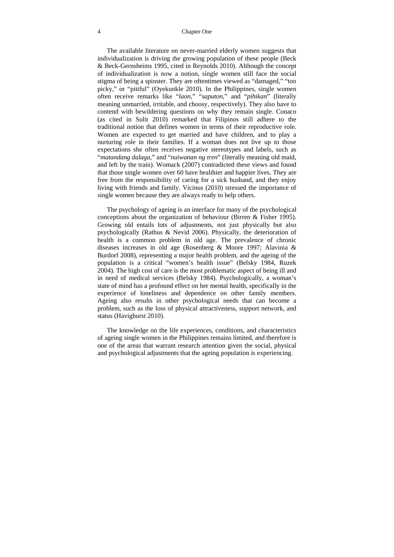#### 4 Chapter One

The available literature on never-married elderly women suggests that individualization is driving the growing population of these people (Beck & Beck-Gernsheims 1995, cited in Reynolds 2010). Although the concept of individualization is now a notion, single women still face the social stigma of being a spinster. They are oftentimes viewed as "damaged," "too picky," or "pitiful" (Oyekunkle 2010). In the Philippines, single women often receive remarks like "*laon*," "*saputon*," and "*pihikan*" (literally meaning unmarried, irritable, and choosy, respectively). They also have to contend with bewildering questions on why they remain single. Conaco (as cited in Sulit 2010) remarked that Filipinos still adhere to the traditional notion that defines women in terms of their reproductive role. Women are expected to get married and have children, and to play a nurturing role in their families. If a woman does not live up to those expectations she often receives negative stereotypes and labels, such as "*matandang dalaga*," and "*naiwanan ng tren*" (literally meaning old maid, and left by the train). Womack (2007) contradicted these views and found that those single women over 60 have healthier and happier lives. They are free from the responsibility of caring for a sick husband, and they enjoy living with friends and family. Vicinus (2010) stressed the importance of single women because they are always ready to help others.

The psychology of ageing is an interface for many of the psychological conceptions about the organization of behaviour (Birren & Fisher 1995). Growing old entails lots of adjustments, not just physically but also psychologically (Rathus & Nevid 2006). Physically, the deterioration of health is a common problem in old age. The prevalence of chronic diseases increases in old age (Rosenberg & Moore 1997; Alavinia & Burdorf 2008), representing a major health problem, and the ageing of the population is a critical "women's health issue" (Belsky 1984, Ruzek 2004). The high cost of care is the most problematic aspect of being ill and in need of medical services (Belsky 1984). Psychologically, a woman's state of mind has a profound effect on her mental health, specifically in the experience of loneliness and dependence on other family members. Ageing also results in other psychological needs that can become a problem, such as the loss of physical attractiveness, support network, and status (Havighurst 2010).

The knowledge on the life experiences, conditions, and characteristics of ageing single women in the Philippines remains limited, and therefore is one of the areas that warrant research attention given the social, physical and psychological adjustments that the ageing population is experiencing.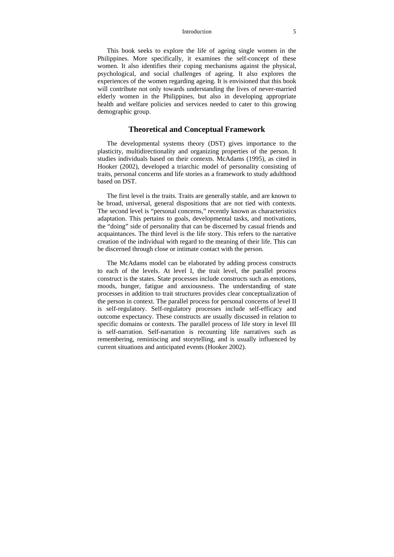#### Introduction 5

This book seeks to explore the life of ageing single women in the Philippines. More specifically, it examines the self-concept of these women. It also identifies their coping mechanisms against the physical, psychological, and social challenges of ageing. It also explores the experiences of the women regarding ageing. It is envisioned that this book will contribute not only towards understanding the lives of never-married elderly women in the Philippines, but also in developing appropriate health and welfare policies and services needed to cater to this growing demographic group.

### **Theoretical and Conceptual Framework**

The developmental systems theory (DST) gives importance to the plasticity, multidirectionality and organizing properties of the person. It studies individuals based on their contexts. McAdams (1995), as cited in Hooker (2002), developed a triarchic model of personality consisting of traits, personal concerns and life stories as a framework to study adulthood based on DST.

The first level is the traits. Traits are generally stable, and are known to be broad, universal, general dispositions that are not tied with contexts. The second level is "personal concerns," recently known as characteristics adaptation. This pertains to goals, developmental tasks, and motivations, the "doing" side of personality that can be discerned by casual friends and acquaintances. The third level is the life story. This refers to the narrative creation of the individual with regard to the meaning of their life. This can be discerned through close or intimate contact with the person.

The McAdams model can be elaborated by adding process constructs to each of the levels. At level I, the trait level, the parallel process construct is the states. State processes include constructs such as emotions, moods, hunger, fatigue and anxiousness. The understanding of state processes in addition to trait structures provides clear conceptualization of the person in context. The parallel process for personal concerns of level II is self-regulatory. Self-regulatory processes include self-efficacy and outcome expectancy. These constructs are usually discussed in relation to specific domains or contexts. The parallel process of life story in level III is self-narration. Self-narration is recounting life narratives such as remembering, reminiscing and storytelling, and is usually influenced by current situations and anticipated events (Hooker 2002).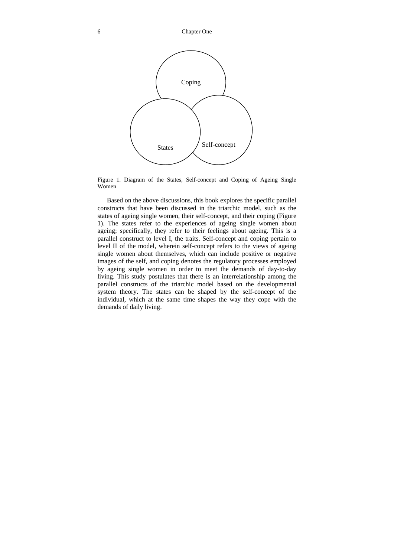

Figure 1. Diagram of the States, Self-concept and Coping of Ageing Single Women

Based on the above discussions, this book explores the specific parallel constructs that have been discussed in the triarchic model, such as the states of ageing single women, their self-concept, and their coping (Figure 1). The states refer to the experiences of ageing single women about ageing; specifically, they refer to their feelings about ageing. This is a parallel construct to level I, the traits. Self-concept and coping pertain to level II of the model, wherein self-concept refers to the views of ageing single women about themselves, which can include positive or negative images of the self, and coping denotes the regulatory processes employed by ageing single women in order to meet the demands of day-to-day living. This study postulates that there is an interrelationship among the parallel constructs of the triarchic model based on the developmental system theory. The states can be shaped by the self-concept of the individual, which at the same time shapes the way they cope with the demands of daily living.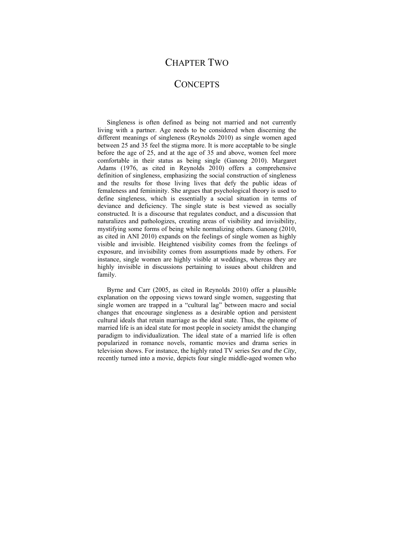## CHAPTER TWO

## **CONCEPTS**

Singleness is often defined as being not married and not currently living with a partner. Age needs to be considered when discerning the different meanings of singleness (Reynolds 2010) as single women aged between 25 and 35 feel the stigma more. It is more acceptable to be single before the age of 25, and at the age of 35 and above, women feel more comfortable in their status as being single (Ganong 2010). Margaret Adams (1976, as cited in Reynolds 2010) offers a comprehensive definition of singleness, emphasizing the social construction of singleness and the results for those living lives that defy the public ideas of femaleness and femininity. She argues that psychological theory is used to define singleness, which is essentially a social situation in terms of deviance and deficiency. The single state is best viewed as socially constructed. It is a discourse that regulates conduct, and a discussion that naturalizes and pathologizes, creating areas of visibility and invisibility, mystifying some forms of being while normalizing others. Ganong (2010, as cited in ANI 2010) expands on the feelings of single women as highly visible and invisible. Heightened visibility comes from the feelings of exposure, and invisibility comes from assumptions made by others. For instance, single women are highly visible at weddings, whereas they are highly invisible in discussions pertaining to issues about children and family.

Byrne and Carr (2005, as cited in Reynolds 2010) offer a plausible explanation on the opposing views toward single women, suggesting that single women are trapped in a "cultural lag" between macro and social changes that encourage singleness as a desirable option and persistent cultural ideals that retain marriage as the ideal state. Thus, the epitome of married life is an ideal state for most people in society amidst the changing paradigm to individualization. The ideal state of a married life is often popularized in romance novels, romantic movies and drama series in television shows. For instance, the highly rated TV series *Sex and the City*, recently turned into a movie, depicts four single middle-aged women who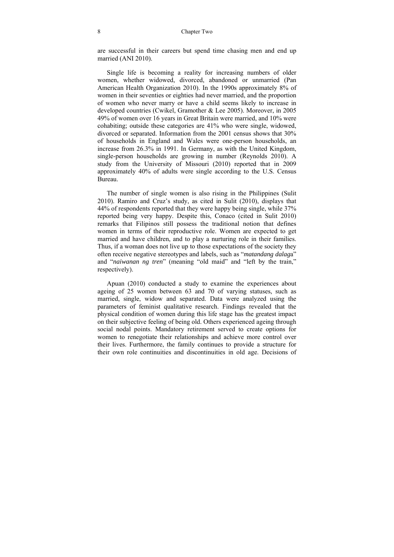are successful in their careers but spend time chasing men and end up married (ANI 2010).

Single life is becoming a reality for increasing numbers of older women, whether widowed, divorced, abandoned or unmarried (Pan American Health Organization 2010). In the 1990s approximately 8% of women in their seventies or eighties had never married, and the proportion of women who never marry or have a child seems likely to increase in developed countries (Cwikel, Gramother & Lee 2005). Moreover, in 2005 49% of women over 16 years in Great Britain were married, and 10% were cohabiting; outside these categories are 41% who were single, widowed, divorced or separated. Information from the 2001 census shows that 30% of households in England and Wales were one-person households, an increase from 26.3% in 1991. In Germany, as with the United Kingdom, single-person households are growing in number (Reynolds 2010). A study from the University of Missouri (2010) reported that in 2009 approximately 40% of adults were single according to the U.S. Census Bureau.

The number of single women is also rising in the Philippines (Sulit 2010). Ramiro and Cruz's study, as cited in Sulit (2010), displays that 44% of respondents reported that they were happy being single, while 37% reported being very happy. Despite this, Conaco (cited in Sulit 2010) remarks that Filipinos still possess the traditional notion that defines women in terms of their reproductive role. Women are expected to get married and have children, and to play a nurturing role in their families. Thus, if a woman does not live up to those expectations of the society they often receive negative stereotypes and labels, such as "*matandang dalag*a" and "*naiwanan ng tren*" (meaning "old maid" and "left by the train," respectively).

Apuan (2010) conducted a study to examine the experiences about ageing of 25 women between 63 and 70 of varying statuses, such as married, single, widow and separated. Data were analyzed using the parameters of feminist qualitative research. Findings revealed that the physical condition of women during this life stage has the greatest impact on their subjective feeling of being old. Others experienced ageing through social nodal points. Mandatory retirement served to create options for women to renegotiate their relationships and achieve more control over their lives. Furthermore, the family continues to provide a structure for their own role continuities and discontinuities in old age. Decisions of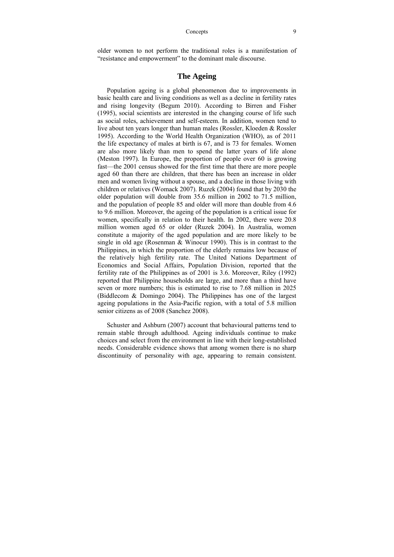older women to not perform the traditional roles is a manifestation of "resistance and empowerment" to the dominant male discourse.

## **The Ageing**

Population ageing is a global phenomenon due to improvements in basic health care and living conditions as well as a decline in fertility rates and rising longevity (Begum 2010). According to Birren and Fisher (1995), social scientists are interested in the changing course of life such as social roles, achievement and self-esteem. In addition, women tend to live about ten years longer than human males (Rossler, Kloeden & Rossler 1995). According to the World Health Organization (WHO), as of 2011 the life expectancy of males at birth is 67, and is 73 for females. Women are also more likely than men to spend the latter years of life alone (Meston 1997). In Europe, the proportion of people over 60 is growing fast—the 2001 census showed for the first time that there are more people aged 60 than there are children, that there has been an increase in older men and women living without a spouse, and a decline in those living with children or relatives (Womack 2007). Ruzek (2004) found that by 2030 the older population will double from 35.6 million in 2002 to 71.5 million, and the population of people 85 and older will more than double from 4.6 to 9.6 million. Moreover, the ageing of the population is a critical issue for women, specifically in relation to their health. In 2002, there were 20.8 million women aged 65 or older (Ruzek 2004). In Australia, women constitute a majority of the aged population and are more likely to be single in old age (Rosenman & Winocur 1990). This is in contrast to the Philippines, in which the proportion of the elderly remains low because of the relatively high fertility rate. The United Nations Department of Economics and Social Affairs, Population Division, reported that the fertility rate of the Philippines as of 2001 is 3.6. Moreover, Riley (1992) reported that Philippine households are large, and more than a third have seven or more numbers; this is estimated to rise to 7.68 million in 2025 (Biddlecom & Domingo 2004). The Philippines has one of the largest ageing populations in the Asia-Pacific region, with a total of 5.8 million senior citizens as of 2008 (Sanchez 2008).

Schuster and Ashburn (2007) account that behavioural patterns tend to remain stable through adulthood. Ageing individuals continue to make choices and select from the environment in line with their long-established needs. Considerable evidence shows that among women there is no sharp discontinuity of personality with age, appearing to remain consistent.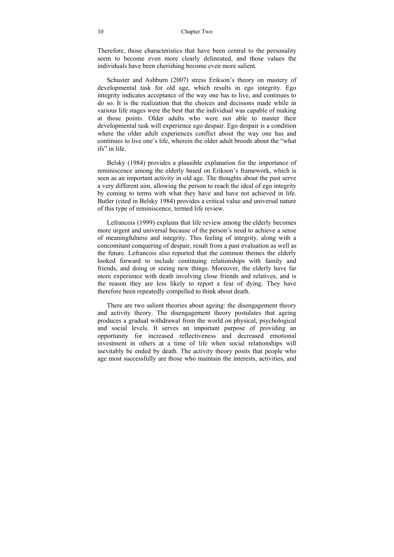#### 10 Chapter Two

Therefore, those characteristics that have been central to the personality seem to become even more clearly delineated, and those values the individuals have been cherishing become even more salient.

Schuster and Ashburn (2007) stress Erikson's theory on mastery of developmental task for old age, which results in ego integrity. Ego integrity indicates acceptance of the way one has to live, and continues to do so. It is the realization that the choices and decisions made while in various life stages were the best that the individual was capable of making at those points. Older adults who were not able to master their developmental task will experience ego despair. Ego despair is a condition where the older adult experiences conflict about the way one has and continues to live one's life, wherein the older adult broods about the "what ifs" in life.

Belsky (1984) provides a plausible explanation for the importance of reminiscence among the elderly based on Erikson's framework, which is seen as an important activity in old age. The thoughts about the past serve a very different aim, allowing the person to reach the ideal of ego integrity by coming to terms with what they have and have not achieved in life. Butler (cited in Belsky 1984) provides a critical value and universal nature of this type of reminiscence, termed life review.

Lefrancois (1999) explains that life review among the elderly becomes more urgent and universal because of the person's need to achieve a sense of meaningfulness and integrity. This feeling of integrity, along with a concomitant conquering of despair, result from a past evaluation as well as the future. Lefrancois also reported that the common themes the elderly looked forward to include continuing relationships with family and friends, and doing or seeing new things. Moreover, the elderly have far more experience with death involving close friends and relatives, and is the reason they are less likely to report a fear of dying. They have therefore been repeatedly compelled to think about death.

There are two salient theories about ageing: the disengagement theory and activity theory. The disengagement theory postulates that ageing produces a gradual withdrawal from the world on physical, psychological and social levels. It serves an important purpose of providing an opportunity for increased reflectiveness and decreased emotional investment in others at a time of life when social relationships will inevitably be ended by death. The activity theory posits that people who age most successfully are those who maintain the interests, activities, and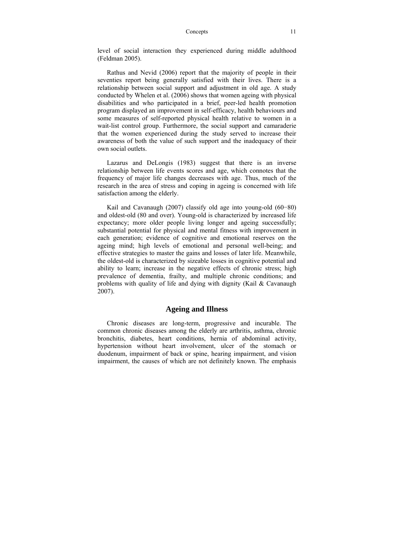level of social interaction they experienced during middle adulthood (Feldman 2005).

Rathus and Nevid (2006) report that the majority of people in their seventies report being generally satisfied with their lives. There is a relationship between social support and adjustment in old age. A study conducted by Whelen et al. (2006) shows that women ageing with physical disabilities and who participated in a brief, peer-led health promotion program displayed an improvement in self-efficacy, health behaviours and some measures of self-reported physical health relative to women in a wait-list control group. Furthermore, the social support and camaraderie that the women experienced during the study served to increase their awareness of both the value of such support and the inadequacy of their own social outlets.

Lazarus and DeLongis (1983) suggest that there is an inverse relationship between life events scores and age, which connotes that the frequency of major life changes decreases with age. Thus, much of the research in the area of stress and coping in ageing is concerned with life satisfaction among the elderly.

Kail and Cavanaugh (2007) classify old age into young-old (60−80) and oldest-old (80 and over). Young-old is characterized by increased life expectancy; more older people living longer and ageing successfully; substantial potential for physical and mental fitness with improvement in each generation; evidence of cognitive and emotional reserves on the ageing mind; high levels of emotional and personal well-being; and effective strategies to master the gains and losses of later life. Meanwhile, the oldest-old is characterized by sizeable losses in cognitive potential and ability to learn; increase in the negative effects of chronic stress; high prevalence of dementia, frailty, and multiple chronic conditions; and problems with quality of life and dying with dignity (Kail & Cavanaugh 2007).

## **Ageing and Illness**

Chronic diseases are long-term, progressive and incurable. The common chronic diseases among the elderly are arthritis, asthma, chronic bronchitis, diabetes, heart conditions, hernia of abdominal activity, hypertension without heart involvement, ulcer of the stomach or duodenum, impairment of back or spine, hearing impairment, and vision impairment, the causes of which are not definitely known. The emphasis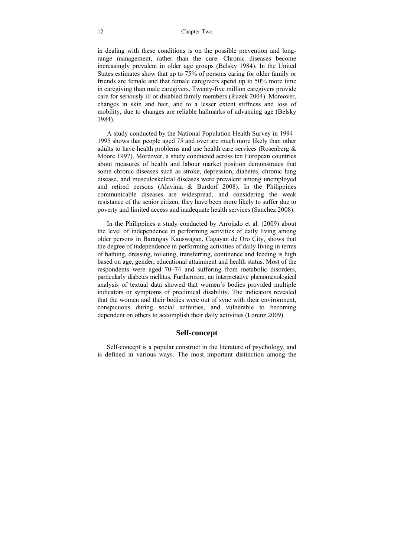in dealing with these conditions is on the possible prevention and longrange management, rather than the cure. Chronic diseases become increasingly prevalent in older age groups (Belsky 1984). In the United States estimates show that up to 75% of persons caring for older family or friends are female and that female caregivers spend up to 50% more time in caregiving than male caregivers. Twenty-five million caregivers provide care for seriously ill or disabled family members (Ruzek 2004). Moreover, changes in skin and hair, and to a lesser extent stiffness and loss of mobility, due to changes are reliable hallmarks of advancing age (Belsky 1984).

A study conducted by the National Population Health Survey in 1994– 1995 shows that people aged 75 and over are much more likely than other adults to have health problems and use health care services (Rosenberg & Moore 1997). Moreover, a study conducted across ten European countries about measures of health and labour market position demonstrates that some chronic diseases such as stroke, depression, diabetes, chronic lung disease, and musculoskeletal diseases were prevalent among unemployed and retired persons (Alavinia & Burdorf 2008). In the Philippines communicable diseases are widespread, and considering the weak resistance of the senior citizen, they have been more likely to suffer due to poverty and limited access and inadequate health services (Sanchez 2008).

In the Philippines a study conducted by Arrojado et al. (2009) about the level of independence in performing activities of daily living among older persons in Barangay Kauswagan, Cagayan de Oro City, shows that the degree of independence in performing activities of daily living in terms of bathing, dressing, toileting, transferring, continence and feeding is high based on age, gender, educational attainment and health status. Most of the respondents were aged 70–74 and suffering from metabolic disorders, particularly diabetes mellitus. Furthermore, an interpretative phenomenological analysis of textual data showed that women's bodies provided multiple indicators or symptoms of preclinical disability. The indicators revealed that the women and their bodies were out of sync with their environment, conspicuous during social activities, and vulnerable to becoming dependent on others to accomplish their daily activities (Lorenz 2009).

## **Self-concept**

Self-concept is a popular construct in the literature of psychology, and is defined in various ways. The most important distinction among the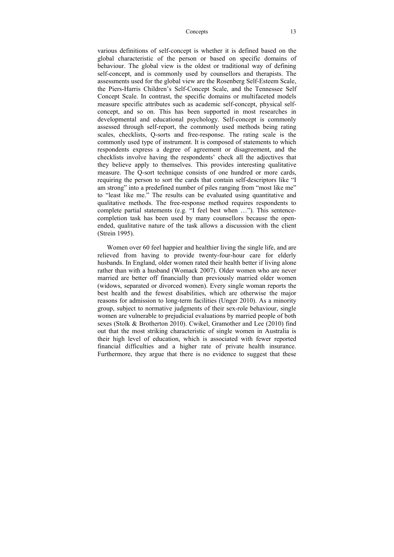various definitions of self-concept is whether it is defined based on the global characteristic of the person or based on specific domains of behaviour. The global view is the oldest or traditional way of defining self-concept, and is commonly used by counsellors and therapists. The assessments used for the global view are the Rosenberg Self-Esteem Scale, the Piers-Harris Children's Self-Concept Scale, and the Tennessee Self Concept Scale. In contrast, the specific domains or multifaceted models measure specific attributes such as academic self-concept, physical selfconcept, and so on. This has been supported in most researches in developmental and educational psychology. Self-concept is commonly assessed through self-report, the commonly used methods being rating scales, checklists, Q-sorts and free-response. The rating scale is the commonly used type of instrument. It is composed of statements to which respondents express a degree of agreement or disagreement, and the checklists involve having the respondents' check all the adjectives that they believe apply to themselves. This provides interesting qualitative measure. The Q-sort technique consists of one hundred or more cards, requiring the person to sort the cards that contain self-descriptors like "I am strong" into a predefined number of piles ranging from "most like me" to "least like me." The results can be evaluated using quantitative and qualitative methods. The free-response method requires respondents to complete partial statements (e.g. "I feel best when …"). This sentencecompletion task has been used by many counsellors because the openended, qualitative nature of the task allows a discussion with the client (Strein 1995).

Women over 60 feel happier and healthier living the single life, and are relieved from having to provide twenty-four-hour care for elderly husbands. In England, older women rated their health better if living alone rather than with a husband (Womack 2007). Older women who are never married are better off financially than previously married older women (widows, separated or divorced women). Every single woman reports the best health and the fewest disabilities, which are otherwise the major reasons for admission to long-term facilities (Unger 2010). As a minority group, subject to normative judgments of their sex-role behaviour, single women are vulnerable to prejudicial evaluations by married people of both sexes (Stolk & Brotherton 2010). Cwikel, Gramother and Lee (2010) find out that the most striking characteristic of single women in Australia is their high level of education, which is associated with fewer reported financial difficulties and a higher rate of private health insurance. Furthermore, they argue that there is no evidence to suggest that these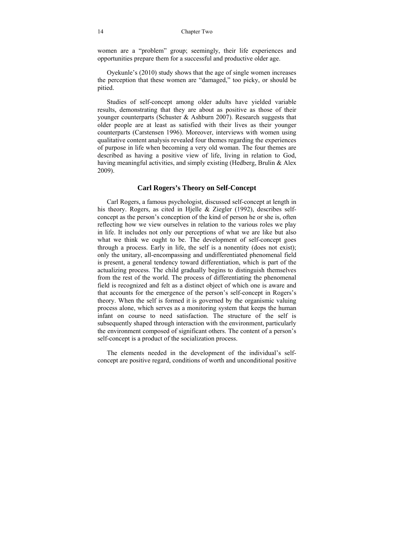women are a "problem" group; seemingly, their life experiences and opportunities prepare them for a successful and productive older age.

Oyekunle's (2010) study shows that the age of single women increases the perception that these women are "damaged," too picky, or should be pitied.

Studies of self-concept among older adults have yielded variable results, demonstrating that they are about as positive as those of their younger counterparts (Schuster  $&$  Ashburn 2007). Research suggests that older people are at least as satisfied with their lives as their younger counterparts (Carstensen 1996). Moreover, interviews with women using qualitative content analysis revealed four themes regarding the experiences of purpose in life when becoming a very old woman. The four themes are described as having a positive view of life, living in relation to God, having meaningful activities, and simply existing (Hedberg, Brulin & Alex 2009).

#### **Carl Rogers's Theory on Self-Concept**

Carl Rogers, a famous psychologist, discussed self-concept at length in his theory. Rogers, as cited in Hjelle & Ziegler (1992), describes selfconcept as the person's conception of the kind of person he or she is, often reflecting how we view ourselves in relation to the various roles we play in life. It includes not only our perceptions of what we are like but also what we think we ought to be. The development of self-concept goes through a process. Early in life, the self is a nonentity (does not exist); only the unitary, all-encompassing and undifferentiated phenomenal field is present, a general tendency toward differentiation, which is part of the actualizing process. The child gradually begins to distinguish themselves from the rest of the world. The process of differentiating the phenomenal field is recognized and felt as a distinct object of which one is aware and that accounts for the emergence of the person's self-concept in Rogers's theory. When the self is formed it is governed by the organismic valuing process alone, which serves as a monitoring system that keeps the human infant on course to need satisfaction. The structure of the self is subsequently shaped through interaction with the environment, particularly the environment composed of significant others. The content of a person's self-concept is a product of the socialization process.

The elements needed in the development of the individual's selfconcept are positive regard, conditions of worth and unconditional positive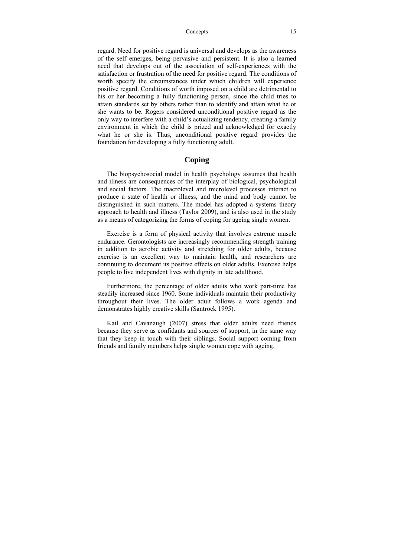regard. Need for positive regard is universal and develops as the awareness of the self emerges, being pervasive and persistent. It is also a learned need that develops out of the association of self-experiences with the satisfaction or frustration of the need for positive regard. The conditions of worth specify the circumstances under which children will experience positive regard. Conditions of worth imposed on a child are detrimental to his or her becoming a fully functioning person, since the child tries to attain standards set by others rather than to identify and attain what he or she wants to be. Rogers considered unconditional positive regard as the only way to interfere with a child's actualizing tendency, creating a family environment in which the child is prized and acknowledged for exactly what he or she is. Thus, unconditional positive regard provides the foundation for developing a fully functioning adult.

## **Coping**

The biopsychosocial model in health psychology assumes that health and illness are consequences of the interplay of biological, psychological and social factors. The macrolevel and microlevel processes interact to produce a state of health or illness, and the mind and body cannot be distinguished in such matters. The model has adopted a systems theory approach to health and illness (Taylor 2009), and is also used in the study as a means of categorizing the forms of coping for ageing single women.

Exercise is a form of physical activity that involves extreme muscle endurance. Gerontologists are increasingly recommending strength training in addition to aerobic activity and stretching for older adults, because exercise is an excellent way to maintain health, and researchers are continuing to document its positive effects on older adults. Exercise helps people to live independent lives with dignity in late adulthood.

Furthermore, the percentage of older adults who work part-time has steadily increased since 1960. Some individuals maintain their productivity throughout their lives. The older adult follows a work agenda and demonstrates highly creative skills (Santrock 1995).

Kail and Cavanaugh (2007) stress that older adults need friends because they serve as confidants and sources of support, in the same way that they keep in touch with their siblings. Social support coming from friends and family members helps single women cope with ageing.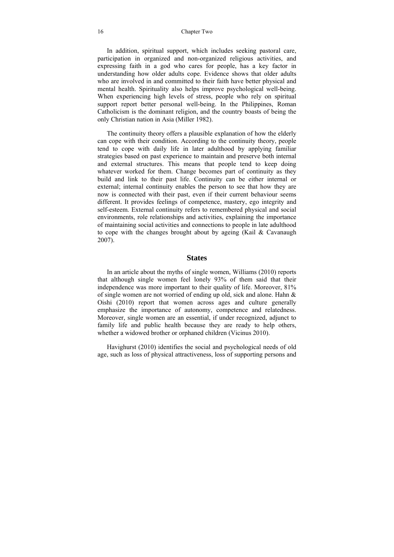#### 16 Chapter Two

In addition, spiritual support, which includes seeking pastoral care, participation in organized and non-organized religious activities, and expressing faith in a god who cares for people, has a key factor in understanding how older adults cope. Evidence shows that older adults who are involved in and committed to their faith have better physical and mental health. Spirituality also helps improve psychological well-being. When experiencing high levels of stress, people who rely on spiritual support report better personal well-being. In the Philippines, Roman Catholicism is the dominant religion, and the country boasts of being the only Christian nation in Asia (Miller 1982).

The continuity theory offers a plausible explanation of how the elderly can cope with their condition. According to the continuity theory, people tend to cope with daily life in later adulthood by applying familiar strategies based on past experience to maintain and preserve both internal and external structures. This means that people tend to keep doing whatever worked for them. Change becomes part of continuity as they build and link to their past life. Continuity can be either internal or external; internal continuity enables the person to see that how they are now is connected with their past, even if their current behaviour seems different. It provides feelings of competence, mastery, ego integrity and self-esteem. External continuity refers to remembered physical and social environments, role relationships and activities, explaining the importance of maintaining social activities and connections to people in late adulthood to cope with the changes brought about by ageing (Kail & Cavanaugh 2007).

### **States**

In an article about the myths of single women, Williams (2010) reports that although single women feel lonely 93% of them said that their independence was more important to their quality of life. Moreover, 81% of single women are not worried of ending up old, sick and alone. Hahn & Oishi (2010) report that women across ages and culture generally emphasize the importance of autonomy, competence and relatedness. Moreover, single women are an essential, if under recognized, adjunct to family life and public health because they are ready to help others, whether a widowed brother or orphaned children (Vicinus 2010).

Havighurst (2010) identifies the social and psychological needs of old age, such as loss of physical attractiveness, loss of supporting persons and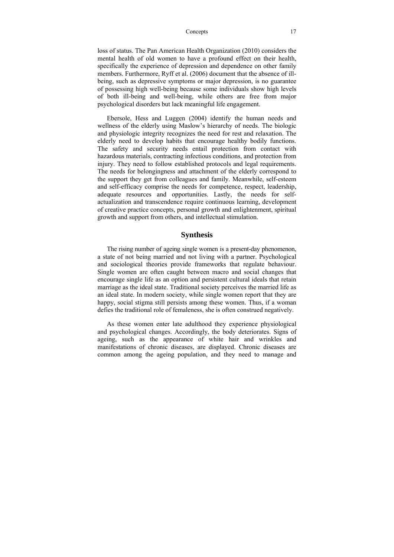loss of status. The Pan American Health Organization (2010) considers the mental health of old women to have a profound effect on their health, specifically the experience of depression and dependence on other family members. Furthermore, Ryff et al. (2006) document that the absence of illbeing, such as depressive symptoms or major depression, is no guarantee of possessing high well-being because some individuals show high levels of both ill-being and well-being, while others are free from major psychological disorders but lack meaningful life engagement.

Ebersole, Hess and Luggen (2004) identify the human needs and wellness of the elderly using Maslow's hierarchy of needs. The biologic and physiologic integrity recognizes the need for rest and relaxation. The elderly need to develop habits that encourage healthy bodily functions. The safety and security needs entail protection from contact with hazardous materials, contracting infectious conditions, and protection from injury. They need to follow established protocols and legal requirements. The needs for belongingness and attachment of the elderly correspond to the support they get from colleagues and family. Meanwhile, self-esteem and self-efficacy comprise the needs for competence, respect, leadership, adequate resources and opportunities. Lastly, the needs for selfactualization and transcendence require continuous learning, development of creative practice concepts, personal growth and enlightenment, spiritual growth and support from others, and intellectual stimulation.

### **Synthesis**

The rising number of ageing single women is a present-day phenomenon, a state of not being married and not living with a partner. Psychological and sociological theories provide frameworks that regulate behaviour. Single women are often caught between macro and social changes that encourage single life as an option and persistent cultural ideals that retain marriage as the ideal state. Traditional society perceives the married life as an ideal state. In modern society, while single women report that they are happy, social stigma still persists among these women. Thus, if a woman defies the traditional role of femaleness, she is often construed negatively.

As these women enter late adulthood they experience physiological and psychological changes. Accordingly, the body deteriorates. Signs of ageing, such as the appearance of white hair and wrinkles and manifestations of chronic diseases, are displayed. Chronic diseases are common among the ageing population, and they need to manage and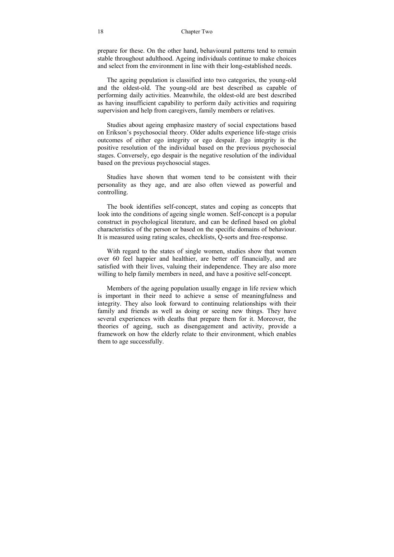#### 18 Chapter Two

prepare for these. On the other hand, behavioural patterns tend to remain stable throughout adulthood. Ageing individuals continue to make choices and select from the environment in line with their long-established needs.

The ageing population is classified into two categories, the young-old and the oldest-old. The young-old are best described as capable of performing daily activities. Meanwhile, the oldest-old are best described as having insufficient capability to perform daily activities and requiring supervision and help from caregivers, family members or relatives.

Studies about ageing emphasize mastery of social expectations based on Erikson's psychosocial theory. Older adults experience life-stage crisis outcomes of either ego integrity or ego despair. Ego integrity is the positive resolution of the individual based on the previous psychosocial stages. Conversely, ego despair is the negative resolution of the individual based on the previous psychosocial stages.

Studies have shown that women tend to be consistent with their personality as they age, and are also often viewed as powerful and controlling.

The book identifies self-concept, states and coping as concepts that look into the conditions of ageing single women. Self-concept is a popular construct in psychological literature, and can be defined based on global characteristics of the person or based on the specific domains of behaviour. It is measured using rating scales, checklists, Q-sorts and free-response.

With regard to the states of single women, studies show that women over 60 feel happier and healthier, are better off financially, and are satisfied with their lives, valuing their independence. They are also more willing to help family members in need, and have a positive self-concept.

Members of the ageing population usually engage in life review which is important in their need to achieve a sense of meaningfulness and integrity. They also look forward to continuing relationships with their family and friends as well as doing or seeing new things. They have several experiences with deaths that prepare them for it. Moreover, the theories of ageing, such as disengagement and activity, provide a framework on how the elderly relate to their environment, which enables them to age successfully.